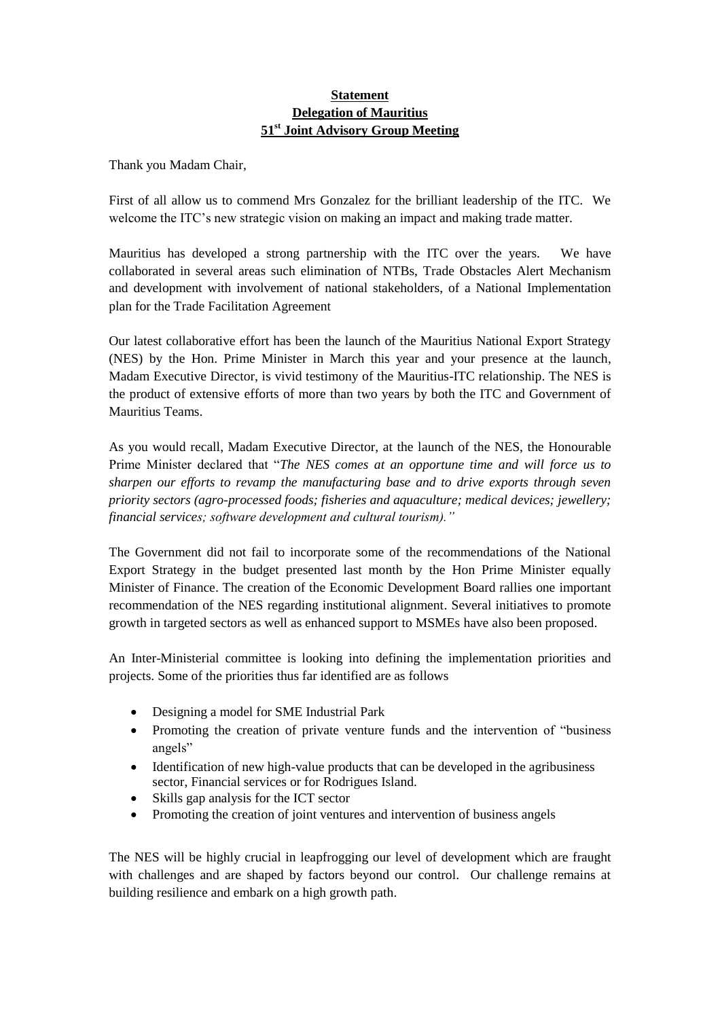## **Statement Delegation of Mauritius 51st Joint Advisory Group Meeting**

Thank you Madam Chair,

First of all allow us to commend Mrs Gonzalez for the brilliant leadership of the ITC. We welcome the ITC's new strategic vision on making an impact and making trade matter.

Mauritius has developed a strong partnership with the ITC over the years. We have collaborated in several areas such elimination of NTBs, Trade Obstacles Alert Mechanism and development with involvement of national stakeholders, of a National Implementation plan for the Trade Facilitation Agreement

Our latest collaborative effort has been the launch of the Mauritius National Export Strategy (NES) by the Hon. Prime Minister in March this year and your presence at the launch, Madam Executive Director, is vivid testimony of the Mauritius-ITC relationship. The NES is the product of extensive efforts of more than two years by both the ITC and Government of Mauritius Teams.

As you would recall, Madam Executive Director, at the launch of the NES, the Honourable Prime Minister declared that "*The NES comes at an opportune time and will force us to sharpen our efforts to revamp the manufacturing base and to drive exports through seven priority sectors (agro-processed foods; fisheries and aquaculture; medical devices; jewellery; financial services; software development and cultural tourism)."* 

The Government did not fail to incorporate some of the recommendations of the National Export Strategy in the budget presented last month by the Hon Prime Minister equally Minister of Finance. The creation of the Economic Development Board rallies one important recommendation of the NES regarding institutional alignment. Several initiatives to promote growth in targeted sectors as well as enhanced support to MSMEs have also been proposed.

An Inter-Ministerial committee is looking into defining the implementation priorities and projects. Some of the priorities thus far identified are as follows

- Designing a model for SME Industrial Park
- Promoting the creation of private venture funds and the intervention of "business" angels"
- Identification of new high-value products that can be developed in the agribusiness sector, Financial services or for Rodrigues Island.
- Skills gap analysis for the ICT sector
- Promoting the creation of joint ventures and intervention of business angels

The NES will be highly crucial in leapfrogging our level of development which are fraught with challenges and are shaped by factors beyond our control. Our challenge remains at building resilience and embark on a high growth path.